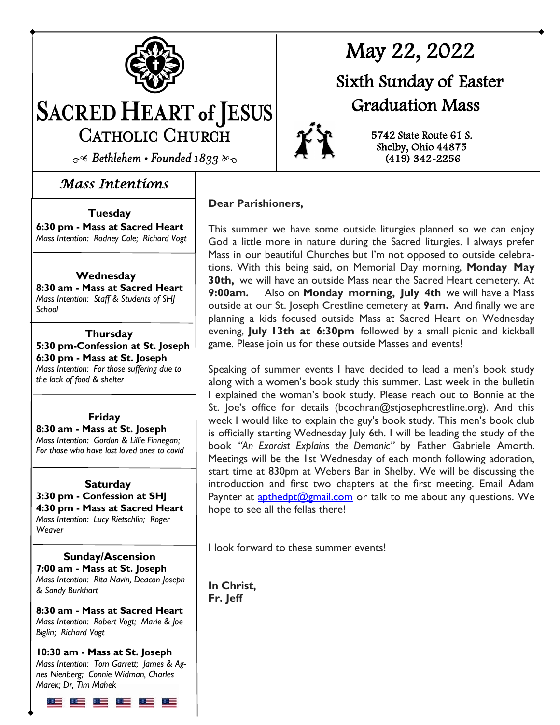

# **SACRED HEART of JESUS** CATHOLIC CHURCH

 $\sim$  Bethlehem • Founded 1833 &

#### *Mass Intentions*

#### **Tuesday**

**6:30 pm - Mass at Sacred Heart** *Mass Intention: Rodney Cole; Richard Vogt* 

#### **Wednesday**

**8:30 am - Mass at Sacred Heart**  *Mass Intention: Staff & Students of SHJ School*

**Thursday 5:30 pm-Confession at St. Joseph 6:30 pm - Mass at St. Joseph** *Mass Intention: For those suffering due to the lack of food & shelter*

**Friday 8:30 am - Mass at St. Joseph** *Mass Intention: Gordon & Lillie Finnegan; For those who have lost loved ones to covid*

#### **Saturday 3:30 pm - Confession at SHJ 4:30 pm - Mass at Sacred Heart** *Mass Intention: Lucy Rietschlin; Roger Weaver*

 **Sunday/Ascension 7:00 am - Mass at St. Joseph** *Mass Intention: Rita Navin, Deacon Joseph & Sandy Burkhart*

**8:30 am - Mass at Sacred Heart**  *Mass Intention: Robert Vogt; Marie & Joe Biglin; Richard Vogt*

**10:30 am - Mass at St. Joseph**  *Mass Intention: Tom Garrett; James & Agnes Nienberg; Connie Widman, Charles Marek; Dr, Tim Mahek*

# May 22, 2022

## Sixth Sunday of Easter Graduation Mass



**Dear Parishioners,**

This summer we have some outside liturgies planned so we can enjoy God a little more in nature during the Sacred liturgies. I always prefer Mass in our beautiful Churches but I'm not opposed to outside celebrations. With this being said, on Memorial Day morning, **Monday May 30th,** we will have an outside Mass near the Sacred Heart cemetery. At **9:00am.** Also on **Monday morning, July 4th** we will have a Mass outside at our St. Joseph Crestline cemetery at **9am.** And finally we are planning a kids focused outside Mass at Sacred Heart on Wednesday evening, **July 13th at 6:30pm** followed by a small picnic and kickball game. Please join us for these outside Masses and events!

Speaking of summer events I have decided to lead a men's book study along with a women's book study this summer. Last week in the bulletin I explained the woman's book study. Please reach out to Bonnie at the St. Joe's office for details (bcochran@stjosephcrestline.org). And this week I would like to explain the guy's book study. This men's book club is officially starting Wednesday July 6th. I will be leading the study of the book *"An Exorcist Explains the Demonic"* by Father Gabriele Amorth. Meetings will be the 1st Wednesday of each month following adoration, start time at 830pm at Webers Bar in Shelby. We will be discussing the introduction and first two chapters at the first meeting. Email Adam Paynter at **[apthedpt@gmail.com](mailto:apthedpt@gmail.com)** or talk to me about any questions. We hope to see all the fellas there!

I look forward to these summer events!

**In Christ, Fr. Jeff**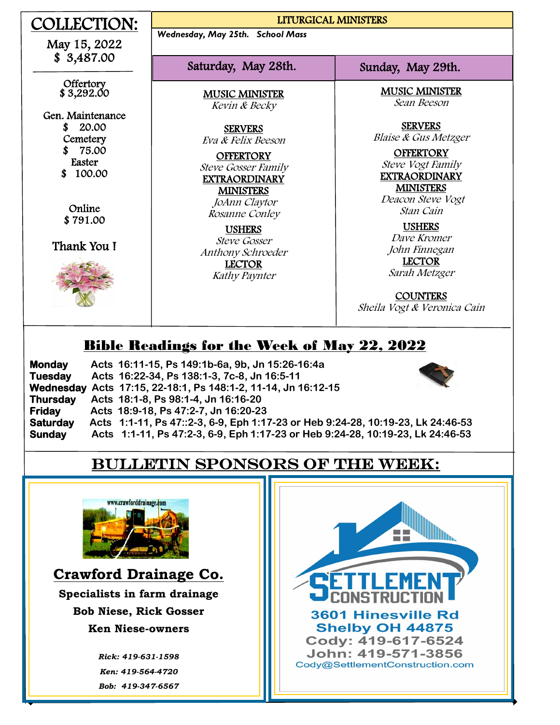| OLLECTION:                                                                    | LITURGICAL MINISTERS                                                                                             |                                                                                                                                        |
|-------------------------------------------------------------------------------|------------------------------------------------------------------------------------------------------------------|----------------------------------------------------------------------------------------------------------------------------------------|
| May 15, 2022                                                                  | Wednesday, May 25th. School Mass                                                                                 |                                                                                                                                        |
| \$3,487.00                                                                    | Saturday, May 28th.                                                                                              | Sunday, May 29th.                                                                                                                      |
| Offertory<br>\$3,292.00                                                       | <b>MUSIC MINISTER</b><br>Kevin & Becky                                                                           | <b>MUSIC MINISTER</b><br>Sean Beeson                                                                                                   |
| Gen. Maintenance<br>20.00<br>S<br>Cemetery<br>75.00<br>Easter<br>100.00<br>\$ | <b>SERVERS</b><br>Eva & Felix Beeson<br><b>OFFERTORY</b><br><b>Steve Gosser Family</b><br><b>EXTRAORDINARY</b>   | <b>SERVERS</b><br><b>Blaise &amp; Gus Metzger</b><br><b>OFFERTORY</b><br>Steve Vogt Family<br><b>EXTRAORDINARY</b><br><b>MINISTERS</b> |
| Online<br>\$791.00<br>Thank You I                                             | <b>MINISTERS</b><br>JoAnn Claytor<br>Rosanne Conley<br><b>USHERS</b><br><b>Steve Gosser</b><br>Anthony Schroeder | Deacon Steve Vogt<br>Stan Cain<br><b>USHERS</b><br>Dave Kromer<br>John Finnegan                                                        |
|                                                                               | <b>LECTOR</b><br>Kathy Paynter                                                                                   | <b>LECTOR</b><br>Sarah Metzger<br><b>COUNTERS</b><br>Sheila Vogt & Veronica Cain                                                       |

## Bible Readings for the Week of May 22, 2022

| <b>Monday</b>   | Acts 16:11-15, Ps 149:1b-6a, 9b, Jn 15:26-16:4a                                 |
|-----------------|---------------------------------------------------------------------------------|
| <b>Tuesday</b>  | Acts 16:22-34, Ps 138:1-3, 7c-8, Jn 16:5-11                                     |
|                 | Wednesday Acts 17:15, 22-18:1, Ps 148:1-2, 11-14, Jn 16:12-15                   |
| <b>Thursday</b> | Acts 18:1-8, Ps 98:1-4, Jn 16:16-20                                             |
| <b>Friday</b>   | Acts 18:9-18, Ps 47:2-7, Jn 16:20-23                                            |
| <b>Saturday</b> | Acts 1:1-11, Ps 47::2-3, 6-9, Eph 1:17-23 or Heb 9:24-28, 10:19-23, Lk 24:46-53 |
| <b>Sunday</b>   | Acts 1:1-11, Ps 47:2-3, 6-9, Eph 1:17-23 or Heb 9:24-28, 10:19-23, Lk 24:46-53  |

## Bulletin sponsors of the week:



 $\overline{a}$ 

**Crawford Drainage Co. Specialists in farm drainage**

**Bob Niese, Rick Gosser Ken Niese-owners** 

> *Rick: 419-631-1598 Ken: 419-564-4720 Bob: 419-347-6567*

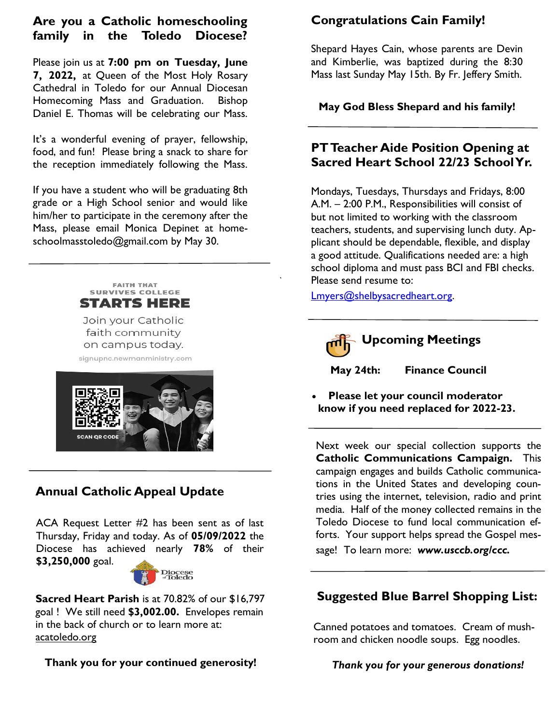#### **Are you a Catholic homeschooling family in the Toledo Diocese?**

Please join us at **7:00 pm on Tuesday, June 7, 2022,** at Queen of the Most Holy Rosary Cathedral in Toledo for our Annual Diocesan Homecoming Mass and Graduation. Bishop Daniel E. Thomas will be celebrating our Mass.

It's a wonderful evening of prayer, fellowship, food, and fun! Please bring a snack to share for the reception immediately following the Mass.

If you have a student who will be graduating 8th grade or a High School senior and would like him/her to participate in the ceremony after the Mass, please email Monica Depinet at homeschoolmasstoledo@gmail.com by May 30.



Join your Catholic faith community on campus today.

signupnc.newmanministry.com



#### **Annual Catholic Appeal Update**

ACA Request Letter #2 has been sent as of last Thursday, Friday and today. As of **05/09/2022** the Diocese has achieved nearly **78%** of their **\$3,250,000** goal.



**Sacred Heart Parish** is at 70.82% of our \$16,797 goal ! We still need **\$3,002.00.** Envelopes remain in the back of church or to learn more at: acatoledo.org

**Thank you for your continued generosity!**

### **Congratulations Cain Family!**

Shepard Hayes Cain, whose parents are Devin and Kimberlie, was baptized during the 8:30 Mass last Sunday May 15th. By Fr. Jeffery Smith.

**May God Bless Shepard and his family!**

#### **PT Teacher Aide Position Opening at Sacred Heart School 22/23 School Yr.**

Mondays, Tuesdays, Thursdays and Fridays, 8:00 A.M. – 2:00 P.M., Responsibilities will consist of but not limited to working with the classroom teachers, students, and supervising lunch duty. Applicant should be dependable, flexible, and display a good attitude. Qualifications needed are: a high school diploma and must pass BCI and FBI checks. Please send resume to:

[Lmyers@shelbysacredheart.org.](mailto:Lmyers@shelbysacredheart.org)



#### **Upcoming Meetings**

 **May 24th: Finance Council**

 **Please let your council moderator know if you need replaced for 2022-23.**

Next week our special collection supports the **Catholic Communications Campaign.** This campaign engages and builds Catholic communications in the United States and developing countries using the internet, television, radio and print media. Half of the money collected remains in the Toledo Diocese to fund local communication efforts. Your support helps spread the Gospel message! To learn more: *www.usccb.org/ccc.*

#### **Suggested Blue Barrel Shopping List:**

Canned potatoes and tomatoes. Cream of mushroom and chicken noodle soups. Egg noodles.

 *Thank you for your generous donations!*